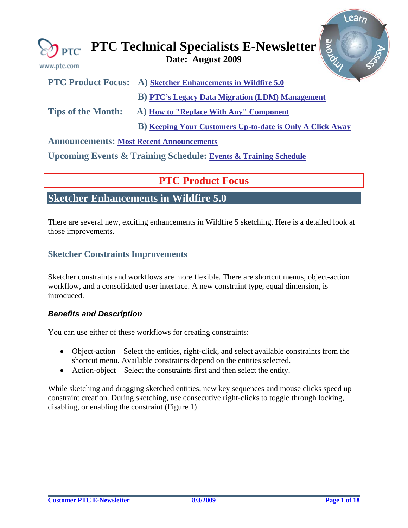<span id="page-0-0"></span>

| www.ptc.com                                     | grove<br>$\bigotimes_{\mathsf{PTC}}$ PTC Technical Specialists E-Newsletter |  |  |
|-------------------------------------------------|-----------------------------------------------------------------------------|--|--|
|                                                 | <b>PTC Product Focus:</b> A) Sketcher Enhancements in Wildfire 5.0          |  |  |
|                                                 | <b>B</b> ) <b>PTC's Legacy Data Migration (LDM) Management</b>              |  |  |
| <b>Tips of the Month:</b>                       | A) How to "Replace With Any" Component                                      |  |  |
|                                                 | <b>B)</b> Keeping Your Customers Up-to-date is Only A Click Away            |  |  |
| <b>Announcements: Most Recent Announcements</b> |                                                                             |  |  |

**Upcoming Events & Training Schedule: [Events & Training Schedule](#page-16-0)**

## **PTC Product Focus**

## **Sketcher Enhancements in Wildfire 5.0**

There are several new, exciting enhancements in Wildfire 5 sketching. Here is a detailed look at those improvements.

### **Sketcher Constraints Improvements**

Sketcher constraints and workflows are more flexible. There are shortcut menus, object-action workflow, and a consolidated user interface. A new constraint type, equal dimension, is introduced.

### *Benefits and Description*

You can use either of these workflows for creating constraints:

- Object-action—Select the entities, right-click, and select available constraints from the shortcut menu. Available constraints depend on the entities selected.
- Action-object—Select the constraints first and then select the entity.

While sketching and dragging sketched entities, new key sequences and mouse clicks speed up constraint creation. During sketching, use consecutive right-clicks to toggle through locking, disabling, or enabling the constraint (Figure 1)

Learn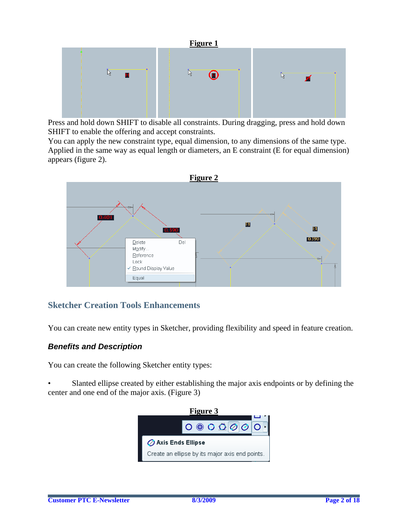

Press and hold down SHIFT to disable all constraints. During dragging, press and hold down SHIFT to enable the offering and accept constraints.

You can apply the new constraint type, equal dimension, to any dimensions of the same type. Applied in the same way as equal length or diameters, an E constraint (E for equal dimension) appears (figure 2).



## **Sketcher Creation Tools Enhancements**

You can create new entity types in Sketcher, providing flexibility and speed in feature creation.

### *Benefits and Description*

You can create the following Sketcher entity types:

Slanted ellipse created by either establishing the major axis endpoints or by defining the center and one end of the major axis. (Figure 3)

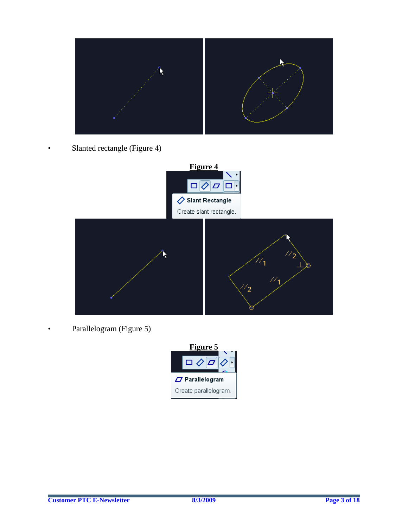

• Slanted rectangle (Figure 4)



Parallelogram (Figure 5)

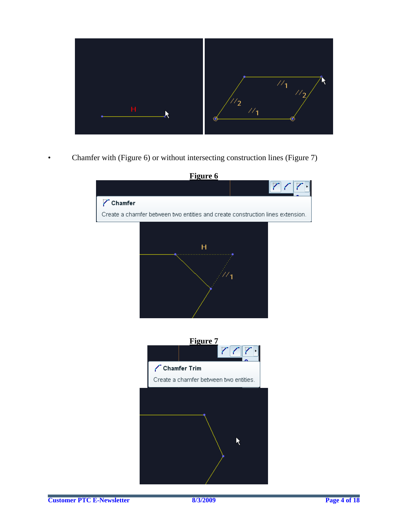

• Chamfer with (Figure 6) or without intersecting construction lines (Figure 7)

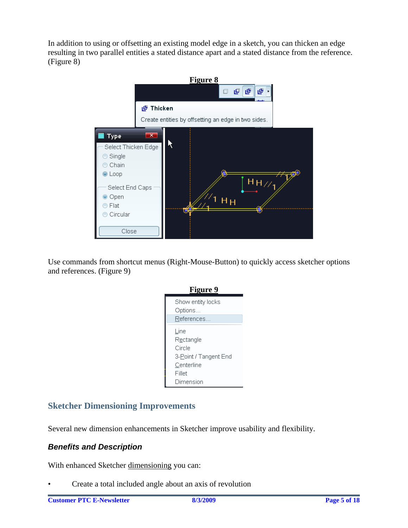In addition to using or offsetting an existing model edge in a sketch, you can thicken an edge resulting in two parallel entities a stated distance apart and a stated distance from the reference. (Figure 8)



Use commands from shortcut menus (Right-Mouse-Button) to quickly access sketcher options and references. (Figure 9)



## **Sketcher Dimensioning Improvements**

Several new dimension enhancements in Sketcher improve usability and flexibility.

### *Benefits and Description*

With enhanced Sketcher dimensioning you can:

• Create a total included angle about an axis of revolution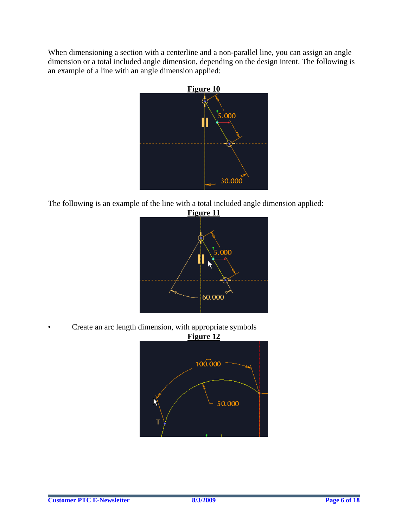When dimensioning a section with a centerline and a non-parallel line, you can assign an [angle](http://localhost:60200/sketcher/Angle_Total_Included_Angle_Dim.htm?queryId=12256daac3c) dimension or a [total](http://localhost:60200/sketcher/Angle_Total_Included_Angle_Dim.htm?queryId=12256daac3c) [included](http://localhost:60200/sketcher/Angle_Total_Included_Angle_Dim.htm?queryId=12256daac3c) [angle](http://localhost:60200/sketcher/Angle_Total_Included_Angle_Dim.htm?queryId=12256daac3c) dimension, depending on the design intent. The following is an example of a line with an [angle](http://localhost:60200/sketcher/Angle_Total_Included_Angle_Dim.htm?queryId=12256daac3c) dimension applied:



The following is an example of the line with a [total](http://localhost:60200/sketcher/Angle_Total_Included_Angle_Dim.htm?queryId=12256daac3c) [included](http://localhost:60200/sketcher/Angle_Total_Included_Angle_Dim.htm?queryId=12256daac3c) [angle](http://localhost:60200/sketcher/Angle_Total_Included_Angle_Dim.htm?queryId=12256daac3c) dimension applied:



• Create an arc length dimension, with appropriate symbols

![](_page_5_Figure_5.jpeg)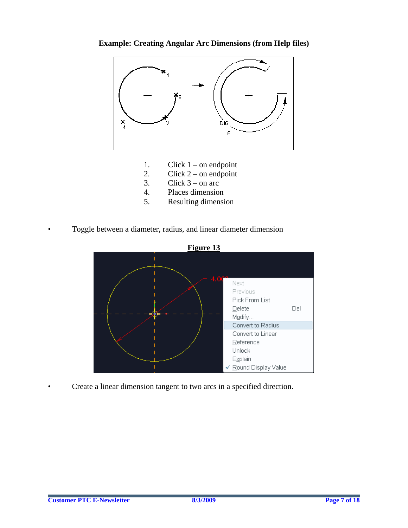![](_page_6_Figure_0.jpeg)

![](_page_6_Figure_1.jpeg)

- 1. Click  $1$  on endpoint
- 2. Click  $2$  on endpoint
- 3. Click  $3$  on arc
- 4. Places dimension
- 5. Resulting dimension
- Toggle between a diameter, radius, and linear diameter dimension

![](_page_6_Figure_8.jpeg)

• Create a linear dimension tangent to two arcs in a specified direction.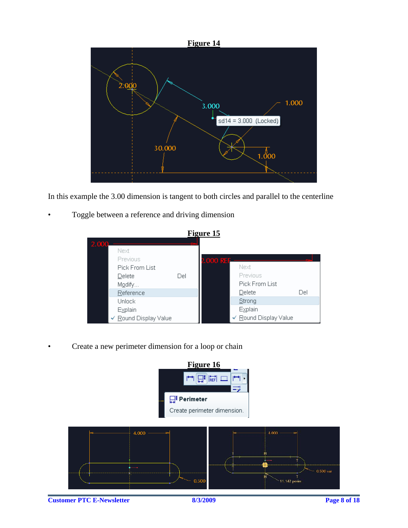![](_page_7_Figure_0.jpeg)

In this example the 3.00 dimension is tangent to both circles and parallel to the centerline

Toggle between a reference and driving dimension

|       | <b>Figure 15</b>      |     |           |                       |     |
|-------|-----------------------|-----|-----------|-----------------------|-----|
| 2.000 |                       |     |           |                       |     |
|       | Next                  |     |           |                       |     |
|       | Previous              |     | 2.000 REF |                       |     |
|       | Pick From List        |     |           | Next                  |     |
|       | Delete                | Del |           | Previous              |     |
|       | Modify                |     |           | Pick From List        |     |
|       | Reference             |     |           | Delete                | Del |
|       | <b>Unlock</b>         |     |           | Strong                |     |
|       | Explain               |     |           | Explain               |     |
|       | V Round Display Value |     |           | ← Round Display Value |     |

• Create a new perimeter dimension for a loop or chain

![](_page_7_Figure_5.jpeg)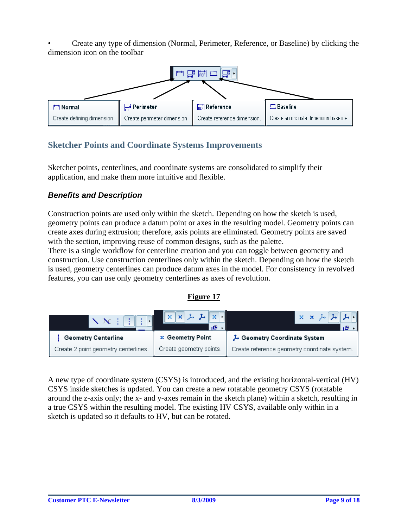• Create any type of dimension (Normal, Perimeter, Reference, or Baseline) by clicking the dimension icon on the toolbar

![](_page_8_Figure_1.jpeg)

## **Sketcher Points and Coordinate Systems Improvements**

Sketcher points, centerlines, and coordinate systems are consolidated to simplify their application, and make them more intuitive and flexible.

### *Benefits and Description*

Construction points are used only within the sketch. Depending on how the sketch is used, geometry points can produce a datum point or axes in the resulting model. Geometry points can create axes during extrusion; therefore, axis points are eliminated. Geometry points are saved with the section, improving reuse of common designs, such as the palette.

There is a single workflow for centerline creation and you can toggle between geometry and construction. Use construction centerlines only within the sketch. Depending on how the sketch is used, geometry centerlines can produce datum axes in the model. For consistency in revolved features, you can use only geometry centerlines as axes of revolution.

### **Figure 17**

| $\sqrt{N}$ iiiiiiiii                 | x x x x x<br>一個         | $\mathbf{x} \times \mathbf{y}$ $\mathbf{A}$ $\mathbf{A}$ |
|--------------------------------------|-------------------------|----------------------------------------------------------|
| <b>Geometry Centerline</b>           | <b>x</b> Geometry Point | Geometry Coordinate System                               |
| Create 2 point geometry centerlines. | Create geometry points. | Create reference geometry coordinate system.             |

A new type of coordinate system (CSYS) is introduced, and the existing horizontal-vertical (HV) CSYS inside sketches is updated. You can create a new rotatable geometry CSYS (rotatable around the z-axis only; the x- and y-axes remain in the sketch plane) within a sketch, resulting in a true CSYS within the resulting model. The existing HV CSYS, available only within in a sketch is updated so it defaults to HV, but can be rotated.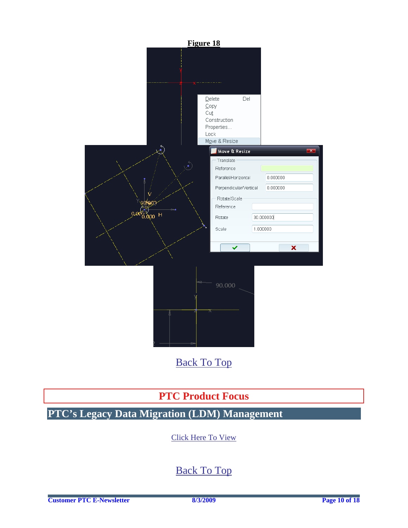<span id="page-9-0"></span>![](_page_9_Figure_0.jpeg)

[Back To Top](#page-0-0)

# **PTC Product Focus**

# **PTC's Legacy Data Migration (LDM) Management**

[Click Here To View](http://members.shaw.ca/jpeng/newsletter/PTC_Technical_Specialists_E-Newsletter_2009_08_enterprise.pdf)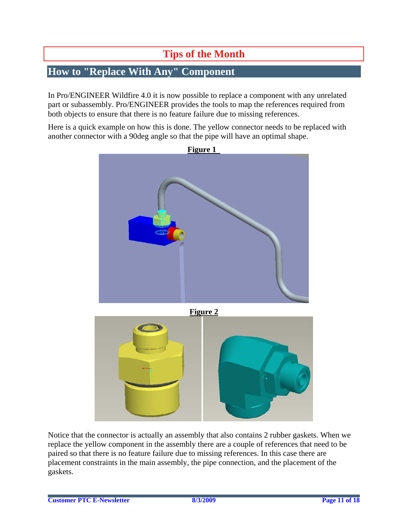# **Tips of the Month**

# <span id="page-10-0"></span>**How to "Replace With Any" Component**

In Pro/ENGINEER Wildfire 4.0 it is now possible to replace a component with any unrelated part or subassembly. Pro/ENGINEER provides the tools to map the references required from both objects to ensure that there is no feature failure due to missing references.

Here is a quick example on how this is done. The yellow connector needs to be replaced with another connector with a 90deg angle so that the pipe will have an optimal shape.

![](_page_10_Figure_4.jpeg)

Notice that the connector is actually an assembly that also contains 2 rubber gaskets. When we replace the yellow component in the assembly there are a couple of references that need to be paired so that there is no feature failure due to missing references. In this case there are placement constraints in the main assembly, the pipe connection, and the placement of the gaskets.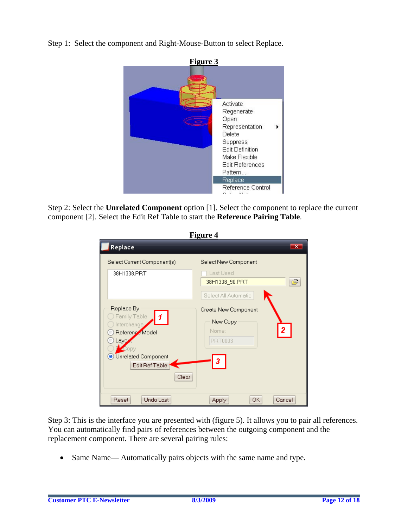Step 1: Select the component and Right-Mouse-Button to select Replace.

![](_page_11_Picture_1.jpeg)

Step 2: Select the **Unrelated Component** option [1]. Select the component to replace the current component [2]. Select the Edit Ref Table to start the **Reference Pairing Table**.

| <b>Figure 4</b>                                                                                                                         |                                                                       |  |  |
|-----------------------------------------------------------------------------------------------------------------------------------------|-----------------------------------------------------------------------|--|--|
| Replace                                                                                                                                 | $\overline{\mathbf{x}}$                                               |  |  |
| Select Current Component(s)                                                                                                             | Select New Component                                                  |  |  |
| 38H1338.PRT                                                                                                                             | Last Used<br>É<br>38H1338_90.PRT<br>Select All Automatic              |  |  |
| Replace By<br>Family Table<br>Interchange<br>Reference Model<br>Lavy<br>Copy<br><b>O</b> Unrelated Component<br>Edit Ref Table<br>Clear | Create New Component<br>New Copy<br>2<br>Name:<br><b>PRT0003</b><br>3 |  |  |
| Undo Last<br>Reset                                                                                                                      | <b>OK</b><br>Cancel<br>Apply                                          |  |  |

Step 3: This is the interface you are presented with (figure 5). It allows you to pair all references. You can automatically find pairs of references between the outgoing component and the replacement component. There are several pairing rules:

• Same Name— Automatically pairs objects with the same name and type.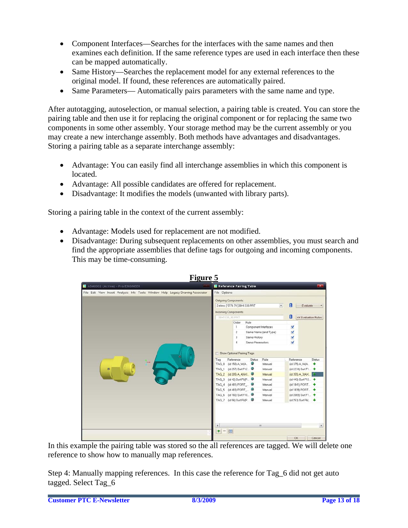- Component Interfaces—Searches for the interfaces with the same names and then examines each definition. If the same reference types are used in each interface then these can be mapped automatically.
- Same History—Searches the replacement model for any external references to the original model. If found, these references are automatically paired.
- Same Parameters— Automatically pairs parameters with the same name and type.

After autotagging, autoselection, or manual selection, a pairing table is created. You can store the pairing table and then use it for replacing the original component or for replacing the same two components in some other assembly. Your storage method may be the current assembly or you may create a new interchange assembly. Both methods have advantages and disadvantages. Storing a pairing table as a separate interchange assembly:

- Advantage: You can easily find all interchange assemblies in which this component is located.
- Advantage: All possible candidates are offered for replacement.
- Disadvantage: It modifies the models (unwanted with library parts).

Storing a pairing table in the context of the current assembly:

- Advantage: Models used for replacement are not modified.
- Disadvantage: During subsequent replacements on other assemblies, you must search and find the appropriate assemblies that define tags for outgoing and incoming components. This may be time-consuming.

![](_page_12_Picture_10.jpeg)

In this example the pairing table was stored so the all references are tagged. We will delete one reference to show how to manually map references.

Step 4: Manually mapping references. In this case the reference for Tag 6 did not get auto tagged. Select Tag\_6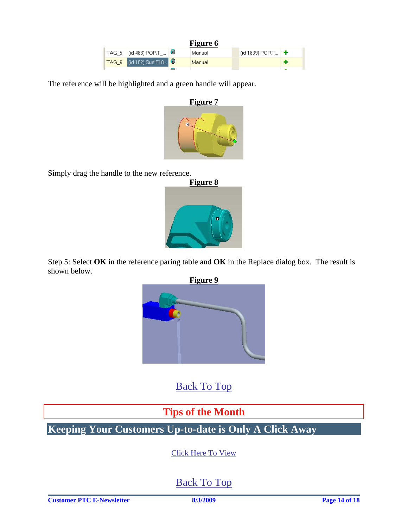| Figure 6 |                                                              |  |        |                             |  |
|----------|--------------------------------------------------------------|--|--------|-----------------------------|--|
|          | $\mathsf{TAG\_5}$ $\mathsf{(id 483) PORT}$ $\mathbf{\oplus}$ |  | Manual | (id 1839) PORT $\mathbf{+}$ |  |
|          | <mark>「TAG_6  </mark> (id 182) Surf:F10 ●                    |  | Manual |                             |  |
|          |                                                              |  |        |                             |  |

<span id="page-13-0"></span>The reference will be highlighted and a green handle will appear.

![](_page_13_Figure_2.jpeg)

Simply drag the handle to the new reference.

![](_page_13_Picture_4.jpeg)

Step 5: Select **OK** in the reference paring table and **OK** in the Replace dialog box. The result is shown below.

![](_page_13_Picture_6.jpeg)

[Back To Top](#page-0-0)

# **Tips of the Month**

**Keeping Your Customers Up-to-date is Only A Click Away** 

[Click Here To View](http://members.shaw.ca/jpeng/newsletter/PTC_Technical_Specialists_E-Newsletter_2009_08_enterprise.pdf)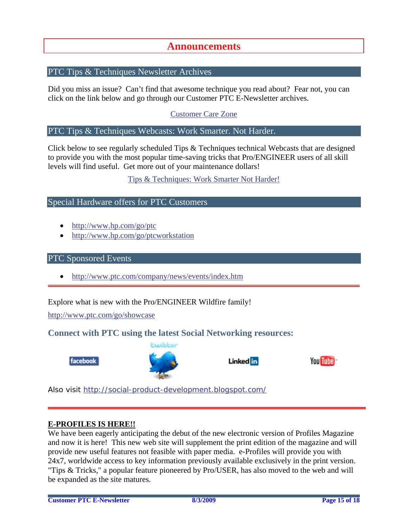## **Announcements**

### <span id="page-14-0"></span>PTC Tips & Techniques Newsletter Archives

Did you miss an issue? Can't find that awesome technique you read about? Fear not, you can click on the link below and go through our Customer PTC E-Newsletter archives.

[Customer Care Zone](http://www.ptc.com/carezone/)

#### PTC Tips & Techniques Webcasts: Work Smarter. Not Harder.

Click below to see regularly scheduled Tips & Techniques technical Webcasts that are designed to provide you with the most popular time-saving tricks that Pro/ENGINEER users of all skill levels will find useful. Get more out of your maintenance dollars!

### [Tips & Techniques: Work Smarter Not Harder!](http://www.ptc.com/appserver/it/icm/cda/template_lib/events/series.jsp?&im_dbkey=11442&icg_dbkey=141)

### Special Hardware offers for PTC Customers

- <http://www.hp.com/go/ptc>
- <http://www.hp.com/go/ptcworkstation>

#### PTC Sponsored Events

• http://www.ptc.com/company/news/events/index.htm

Explore what is new with the Pro/ENGINEER Wildfire family!

<http://www.ptc.com/go/showcase>

### **Connect with PTC using the latest Social Networking resources:**

![](_page_14_Picture_15.jpeg)

![](_page_14_Picture_16.jpeg)

Linked in

![](_page_14_Picture_18.jpeg)

Also visit<http://social-product-development.blogspot.com/>

#### **E-PROFILES IS HERE!!**

We have been eagerly anticipating the debut of the new electronic version of Profiles Magazine and now it is here! This new web site will supplement the print edition of the magazine and will provide new useful features not feasible with paper media. e-Profiles will provide you with 24x7, worldwide access to key information previously available exclusively in the print version. "Tips & Tricks," a popular feature pioneered by Pro/USER, has also moved to the web and will be expanded as the site matures.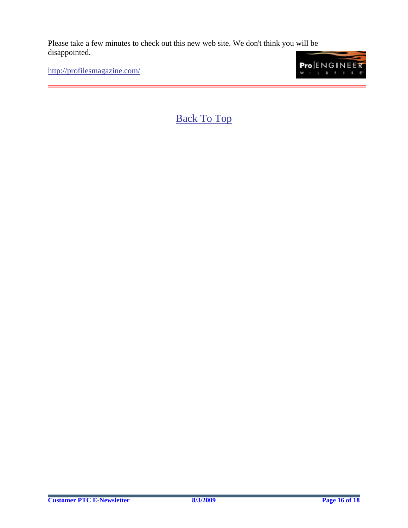Please take a few minutes to check out this new web site. We don't think you will be disappointed.

<http://profilesmagazine.com/>

![](_page_15_Picture_2.jpeg)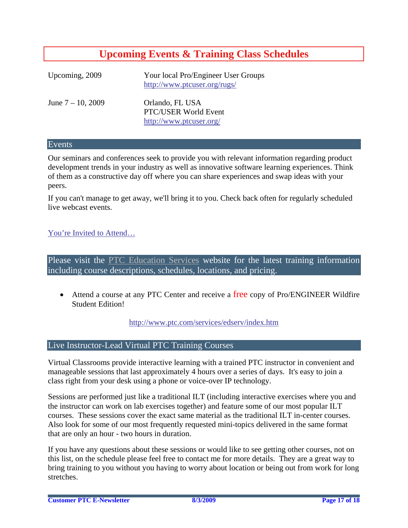## **Upcoming Events & Training Class Schedules**

<span id="page-16-0"></span>

| Upcoming, 2009       | Your local Pro/Engineer User Groups<br>http://www.ptcuser.org/rugs/ |
|----------------------|---------------------------------------------------------------------|
| June $7 - 10$ , 2009 | Orlando, FL USA<br>PTC/USER World Event<br>http://www.ptcuser.org/  |

#### Events

Our seminars and conferences seek to provide you with relevant information regarding product development trends in your industry as well as innovative software learning experiences. Think of them as a constructive day off where you can share experiences and swap ideas with your peers.

If you can't manage to get away, we'll bring it to you. Check back often for regularly scheduled live webcast events.

### [You're Invited to Attend…](http://www.ptc.com/company/news/events/index.htm)

Please visit the [PTC Education Services](http://www.ptc.com/services/edserv/) website for the latest training information including course descriptions, schedules, locations, and pricing.

• Attend a course at any PTC Center and receive a free copy of Pro/ENGINEER Wildfire Student Edition!

<http://www.ptc.com/services/edserv/index.htm>

### Live Instructor-Lead Virtual PTC Training Courses

Virtual Classrooms provide interactive learning with a trained PTC instructor in convenient and manageable sessions that last approximately 4 hours over a series of days. It's easy to join a class right from your desk using a phone or voice-over IP technology.

Sessions are performed just like a traditional ILT (including interactive exercises where you and the instructor can work on lab exercises together) and feature some of our most popular ILT courses. These sessions cover the exact same material as the traditional ILT in-center courses. Also look for some of our most frequently requested mini-topics delivered in the same format that are only an hour - two hours in duration.

If you have any questions about these sessions or would like to see getting other courses, not on this list, on the schedule please feel free to contact me for more details. They are a great way to bring training to you without you having to worry about location or being out from work for long stretches.